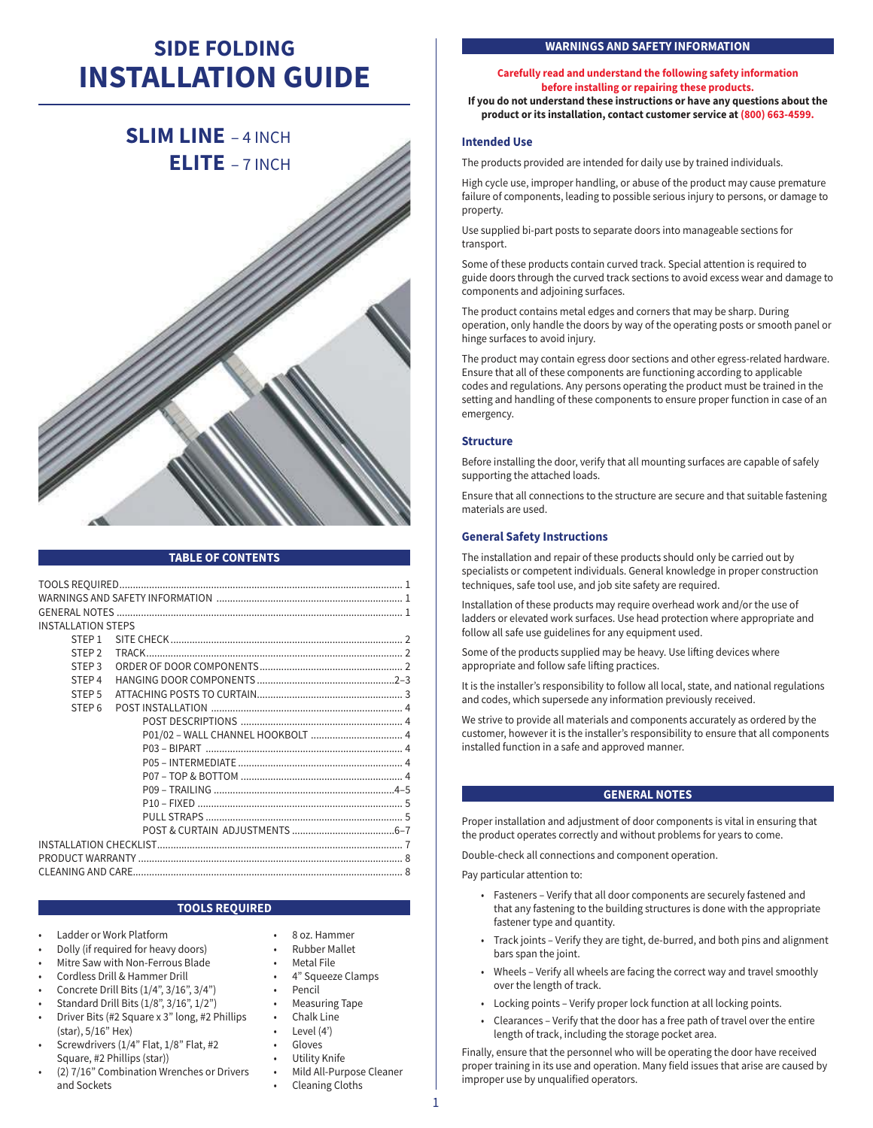# **SIDE FOLDING INSTALLATION GUIDE**

# **SLIM LINE** – 4 INCH  **ELITE** – 7 INCH



# **TABLE OF CONTENTS**

| <b>INSTALLATION STEPS</b> |  |  |  |
|---------------------------|--|--|--|
| STFP <sub>1</sub>         |  |  |  |
| STFP <sub>2</sub>         |  |  |  |
| STFP <sub>3</sub>         |  |  |  |
| STFP <sub>4</sub>         |  |  |  |
| STFP <sub>5</sub>         |  |  |  |
| STFP <sub>6</sub>         |  |  |  |
|                           |  |  |  |
|                           |  |  |  |
|                           |  |  |  |
|                           |  |  |  |
|                           |  |  |  |
|                           |  |  |  |
|                           |  |  |  |
|                           |  |  |  |
|                           |  |  |  |
|                           |  |  |  |
|                           |  |  |  |
|                           |  |  |  |

### **TOOLS REQUIRED**

- Ladder or Work Platform
- Dolly (if required for heavy doors)
- Mitre Saw with Non-Ferrous Blade
- Cordless Drill & Hammer Drill
- Concrete Drill Bits (1/4", 3/16", 3/4")
- Standard Drill Bits (1/8", 3/16", 1/2")
- Driver Bits (#2 Square x 3" long, #2 Phillips (star), 5/16" Hex)
- Screwdrivers (1/4" Flat, 1/8" Flat, #2 Square, #2 Phillips (star))
- (2) 7/16" Combination Wrenches or Drivers and Sockets
- 8 oz. Hammer
- Rubber Mallet
- Metal File
- 4" Squeeze Clamps
- **Pencil**
- Measuring Tape
- Chalk Line
- Level (4')
- **Gloves**
- Utility Knife
- Mild All-Purpose Cleaner • Cleaning Cloths
	-

#### **WARNINGS AND SAFETY INFORMATION**

## **Carefully read and understand the following safety information before installing or repairing these products.**

**If you do not understand these instructions or have any questions about the product or its installation, contact customer service at (800) 663-4599.**

#### **Intended Use**

The products provided are intended for daily use by trained individuals.

High cycle use, improper handling, or abuse of the product may cause premature failure of components, leading to possible serious injury to persons, or damage to property.

Use supplied bi-part posts to separate doors into manageable sections for transport.

Some of these products contain curved track. Special attention is required to guide doors through the curved track sections to avoid excess wear and damage to components and adjoining surfaces.

The product contains metal edges and corners that may be sharp. During operation, only handle the doors by way of the operating posts or smooth panel or hinge surfaces to avoid injury.

The product may contain egress door sections and other egress-related hardware. Ensure that all of these components are functioning according to applicable codes and regulations. Any persons operating the product must be trained in the setting and handling of these components to ensure proper function in case of an emergency.

#### **Structure**

Before installing the door, verify that all mounting surfaces are capable of safely supporting the attached loads.

Ensure that all connections to the structure are secure and that suitable fastening materials are used.

### **General Safety Instructions**

The installation and repair of these products should only be carried out by specialists or competent individuals. General knowledge in proper construction techniques, safe tool use, and job site safety are required.

Installation of these products may require overhead work and/or the use of ladders or elevated work surfaces. Use head protection where appropriate and follow all safe use guidelines for any equipment used.

Some of the products supplied may be heavy. Use lifting devices where appropriate and follow safe lifting practices.

It is the installer's responsibility to follow all local, state, and national regulations and codes, which supersede any information previously received.

We strive to provide all materials and components accurately as ordered by the customer, however it is the installer's responsibility to ensure that all components installed function in a safe and approved manner.

## **GENERAL NOTES**

Proper installation and adjustment of door components is vital in ensuring that the product operates correctly and without problems for years to come.

Double-check all connections and component operation.

Pay particular attention to:

- Fasteners Verify that all door components are securely fastened and that any fastening to the building structures is done with the appropriate fastener type and quantity.
- Track joints Verify they are tight, de-burred, and both pins and alignment bars span the joint.
- Wheels Verify all wheels are facing the correct way and travel smoothly over the length of track.
- Locking points Verify proper lock function at all locking points.
- Clearances Verify that the door has a free path of travel over the entire length of track, including the storage pocket area.

Finally, ensure that the personnel who will be operating the door have received proper training in its use and operation. Many field issues that arise are caused by improper use by unqualified operators.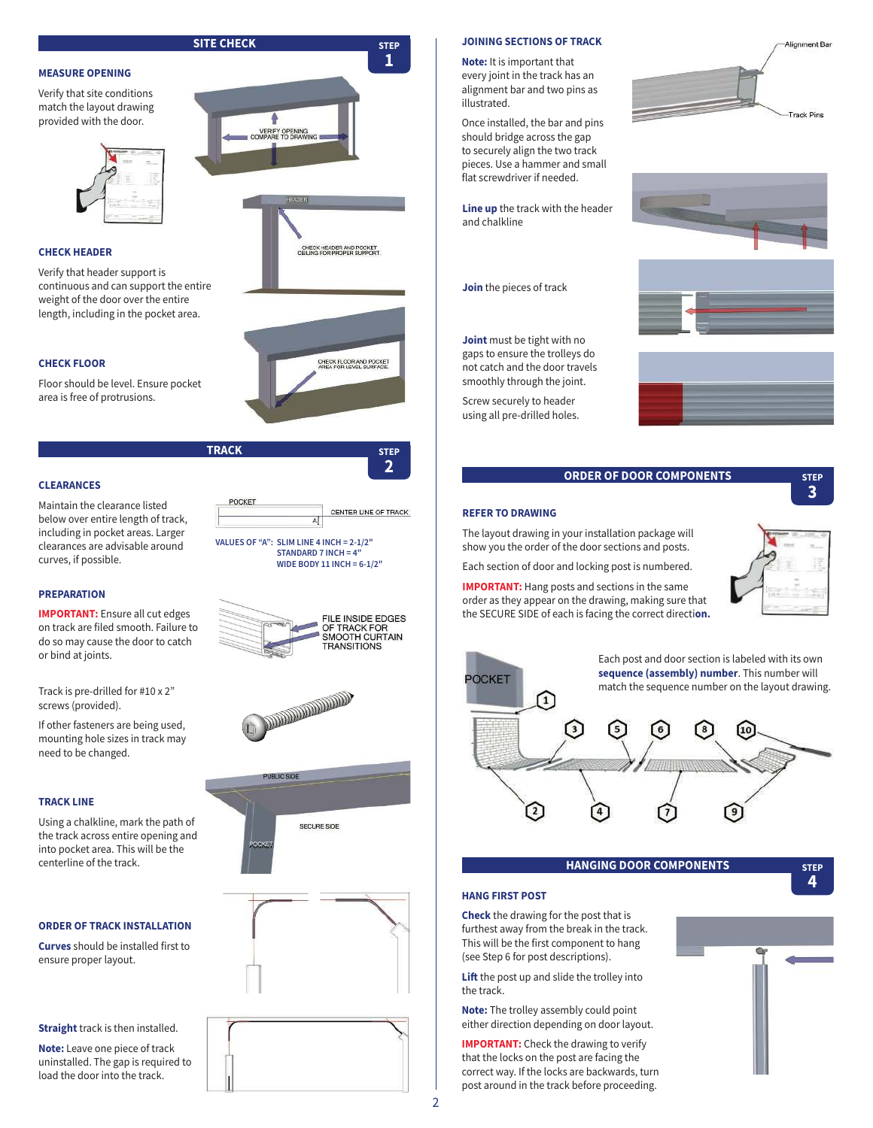**MEASURE OPENING**

Verify that site conditions match the layout drawing provided with the door.

#### **CHECK HEADER**

Verify that header support is continuous and can support the entire weight of the door over the entire length, including in the pocket area.



Floor should be level. Ensure pocket area is free of protrusions.

**TRACK** STEP

POCKET

**VALUES OF "A": SLIM LINE 4 INCH = 2-1/2" STANDARD 7 INCH = 4" WIDE BODY 11 INCH = 6-1/2"**

**AND REAL PROPERTY AND ADDRESS** 

SECURE SIDE

 $\overline{A}$ 

POCKET

**PUBLIC SIDE** 



Maintain the clearance listed below over entire length of track, including in pocket areas. Larger clearances are advisable around curves, if possible.

#### **PREPARATION**

**IMPORTANT:** Ensure all cut edges on track are filed smooth. Failure to do so may cause the door to catch or bind at joints.

Track is pre-drilled for #10 x 2" screws (provided).

If other fasteners are being used, mounting hole sizes in track may need to be changed.

#### **TRACK LINE**

Using a chalkline, mark the path of the track across entire opening and into pocket area. This will be the centerline of the track.

# **ORDER OF TRACK INSTALLATION**

**Curves** should be installed first to ensure proper layout.

**Straight** track is then installed.

**Note:** Leave one piece of track uninstalled. The gap is required to load the door into the track.



#### **JOINING SECTIONS OF TRACK**

**Note:** It is important that every joint in the track has an alignment bar and two pins as illustrated.

Once installed, the bar and pins should bridge across the gap to securely align the two track pieces. Use a hammer and small flat screwdriver if needed.

**Line up** the track with the header and chalkline

**Join** the pieces of track

**Joint** must be tight with no gaps to ensure the trolleys do not catch and the door travels smoothly through the joint.

Screw securely to header using all pre-drilled holes.







# **ORDER OF DOOR COMPONENTS** STEP

# **3**

#### **REFER TO DRAWING**

**2**

CENTER LINE OF TRACK

FILE INSIDE EDGES OF TRACK FOR<br>OF TRACK FOR<br>SMOOTH CURTAIN **TRANSITIONS** 

The layout drawing in your installation package will show you the order of the door sections and posts.

Each section of door and locking post is numbered.

**IMPORTANT:** Hang posts and sections in the same order as they appear on the drawing, making sure that the SECURE SIDE of each is facing the correct directi**on.**





### **HANGING DOOR COMPONENTS STEP**

**4**

#### **HANG FIRST POST**

**Check** the drawing for the post that is furthest away from the break in the track. This will be the first component to hang (see Step 6 for post descriptions).

**Lift** the post up and slide the trolley into the track.

**Note:** The trolley assembly could point either direction depending on door layout.

**IMPORTANT:** Check the drawing to verify that the locks on the post are facing the correct way. If the locks are backwards, turn post around in the track before proceeding.

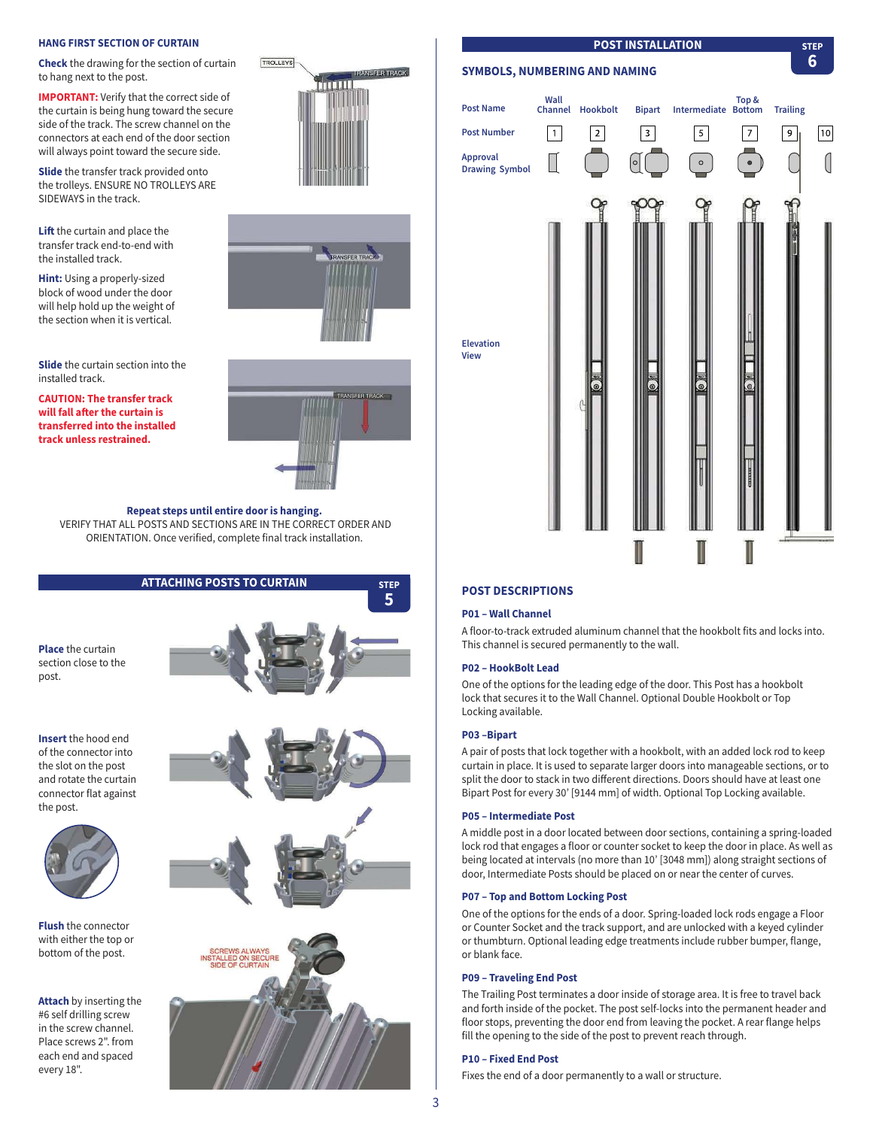#### **HANG FIRST SECTION OF CURTAIN**

**Check** the drawing for the section of curtain to hang next to the post.

**IMPORTANT:** Verify that the correct side of the curtain is being hung toward the secure side of the track. The screw channel on the connectors at each end of the door section will always point toward the secure side.

**Slide** the transfer track provided onto the trolleys. ENSURE NO TROLLEYS ARE SIDEWAYS in the track.

**Lift** the curtain and place the transfer track end-to-end with the installed track.

**Hint:** Using a properly-sized block of wood under the door will help hold up the weight of the section when it is vertical.

**Slide** the curtain section into the installed track.

**CAUTION: The transfer track will fall a%er the curtain is transferred into the installed track unless restrained.**







**5**

**Repeat steps until entire door is hanging.** VERIFY THAT ALL POSTS AND SECTIONS ARE IN THE CORRECT ORDER AND ORIENTATION. Once verified, complete final track installation.

# **ATTACHING POSTS TO CURTAIN STEP**

**Place** the curtain section close to the post

**Insert** the hood end of the connector into the slot on the post and rotate the curtain connector flat against the post.



**Flush** the connector with either the top or bottom of the post.

**Attach** by inserting the #6 self drilling screw in the screw channel. Place screws 2". from each end and spaced every 18".







# **SYMBOLS, NUMBERING AND NAMING Top & Wall Post Name Channel Hookbolt Bipart Intermediate Trailing Post Number**  $\boxed{1}$  $\boxed{2}$  $\sqrt{3}$  $\boxed{9}$  $\boxed{10}$  $\sqrt{5}$  $\overline{7}$ **Approval**   $\left(\right|$  $\circ$ **Drawing Symbol Elevation View**

**POST INSTALLATION** STEP

**6**

# **POST DESCRIPTIONS**

#### **P01 – Wall Channel**

A floor-to-track extruded aluminum channel that the hookbolt fits and locks into. This channel is secured permanently to the wall.

#### **P02 – HookBolt Lead**

One of the options for the leading edge of the door. This Post has a hookbolt lock that secures it to the Wall Channel. Optional Double Hookbolt or Top Locking available.

#### **P03 –Bipart**

A pair of posts that lock together with a hookbolt, with an added lock rod to keep curtain in place. It is used to separate larger doors into manageable sections, or to split the door to stack in two different directions. Doors should have at least one Bipart Post for every 30' [9144 mm] of width. Optional Top Locking available.

#### **P05 – Intermediate Post**

A middle post in a door located between door sections, containing a spring-loaded lock rod that engages a floor or counter socket to keep the door in place. As well as being located at intervals (no more than 10' [3048 mm]) along straight sections of door, Intermediate Posts should be placed on or near the center of curves.

#### **P07 – Top and Bottom Locking Post**

One of the options for the ends of a door. Spring-loaded lock rods engage a Floor or Counter Socket and the track support, and are unlocked with a keyed cylinder or thumbturn. Optional leading edge treatments include rubber bumper, flange, or blank face.

#### **P09 – Traveling End Post**

The Trailing Post terminates a door inside of storage area. It is free to travel back and forth inside of the pocket. The post self-locks into the permanent header and floor stops, preventing the door end from leaving the pocket. A rear flange helps fill the opening to the side of the post to prevent reach through.

### **P10 – Fixed End Post**

Fixes the end of a door permanently to a wall or structure.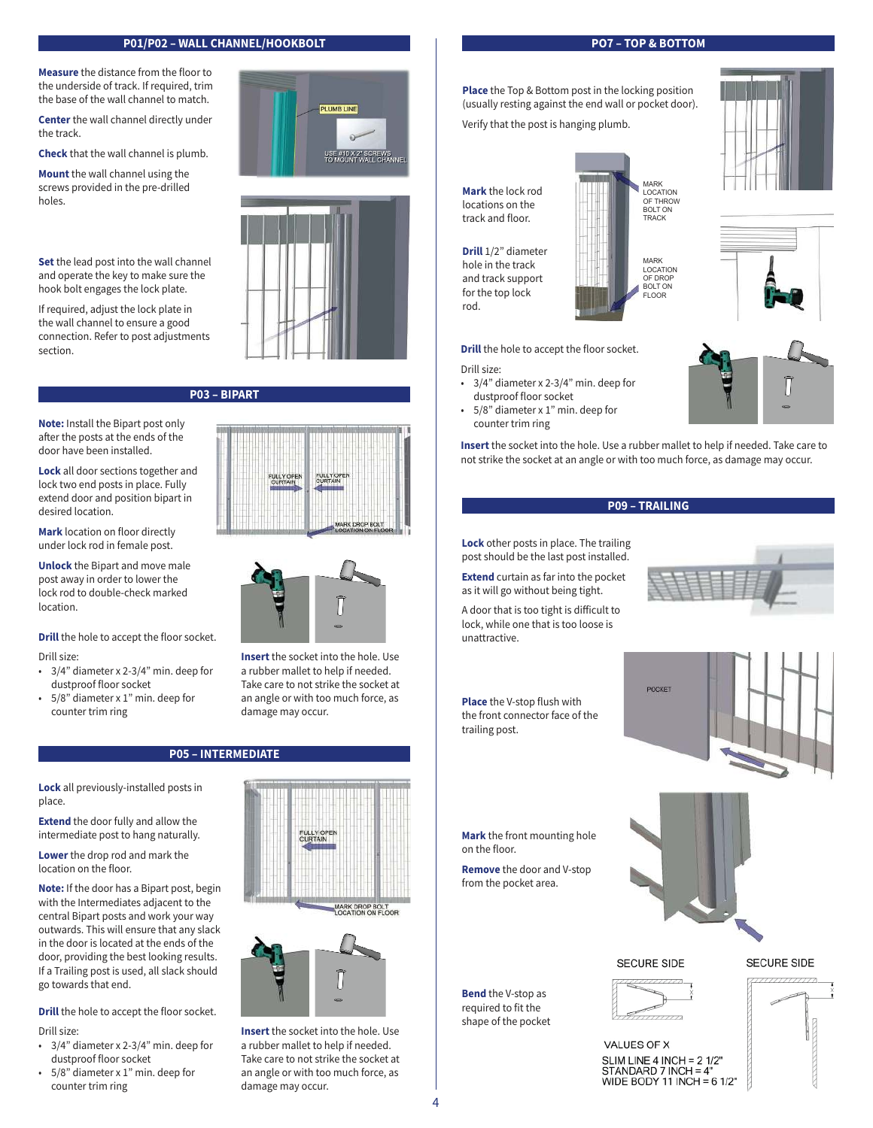# **P01/P02 – WALL CHANNEL/HOOKBOLT PO7 – TOP & BOTTOM**

**Measure** the distance from the floor to the underside of track. If required, trim the base of the wall channel to match.

**Center** the wall channel directly under the track.

**Check** that the wall channel is plumb.

**Mount** the wall channel using the screws provided in the pre-drilled holes.

**Set** the lead post into the wall channel and operate the key to make sure the hook bolt engages the lock plate.

If required, adjust the lock plate in the wall channel to ensure a good connection. Refer to post adjustments section.

**Note:** Install the Bipart post only after the posts at the ends of the door have been installed.

**Lock** all door sections together and lock two end posts in place. Fully extend door and position bipart in desired location.

**Mark** location on floor directly under lock rod in female post.

**Unlock** the Bipart and move male post away in order to lower the lock rod to double-check marked location.

**Drill** the hole to accept the floor socket.

Drill size:

- 3/4" diameter x 2-3/4" min. deep for dustproof floor socket
- 5/8" diameter x 1" min. deep for counter trim ring

# **P05 – INTERMEDIATE**

**Lock** all previously-installed posts in place.

**Extend** the door fully and allow the intermediate post to hang naturally.

**Lower** the drop rod and mark the location on the floor.

**Note:** If the door has a Bipart post, begin with the Intermediates adjacent to the central Bipart posts and work your way outwards. This will ensure that any slack in the door is located at the ends of the door, providing the best looking results. If a Trailing post is used, all slack should go towards that end.

**Drill** the hole to accept the floor socket.

Drill size:

- 3/4" diameter x 2-3/4" min. deep for dustproof floor socket
- 5/8" diameter x 1" min. deep for counter trim ring





# **P03 – BIPART**





**Insert** the socket into the hole. Use a rubber mallet to help if needed. Take care to not strike the socket at an angle or with too much force, as damage may occur.

FULLY OP<br>CURTAIN





**Insert** the socket into the hole. Use a rubber mallet to help if needed. Take care to not strike the socket at an angle or with too much force, as damage may occur.

MARK LOCATION OF THROW

**Place** the Top & Bottom post in the locking position (usually resting against the end wall or pocket door).

Verify that the post is hanging plumb.

**Mark** the lock rod locations on the track and floor.

**Drill** 1/2" diameter hole in the track and track support for the top lock

BOLT ON TRACK MARK LOCATION OF DROP BOLT ON FLOOR

**Drill** the hole to accept the floor socket.

Drill size:

rod.

- 3/4" diameter x 2-3/4" min. deep for dustproof floor socket
- 5/8" diameter x 1" min. deep for counter trim ring

**Insert** the socket into the hole. Use a rubber mallet to help if needed. Take care to not strike the socket at an angle or with too much force, as damage may occur.



**Lock** other posts in place. The trailing post should be the last post installed.

**Extend** curtain as far into the pocket as it will go without being tight.

A door that is too tight is difficult to lock, while one that is too loose is unattractive.

**Place** the V-stop flush with the front connector face of the trailing post.



**Mark** the front mounting hole on the floor.

**Remove** the door and V-stop from the pocket area.

**Bend** the V-stop as required to fit the shape of the pocket

4



**SECURE SIDE** 





VALUES OF X SLIM LINE 4 INCH =  $21/2"$ STANDARD 7 INCH = 4" WIDE BODY 11 INCH = 6 1/2"







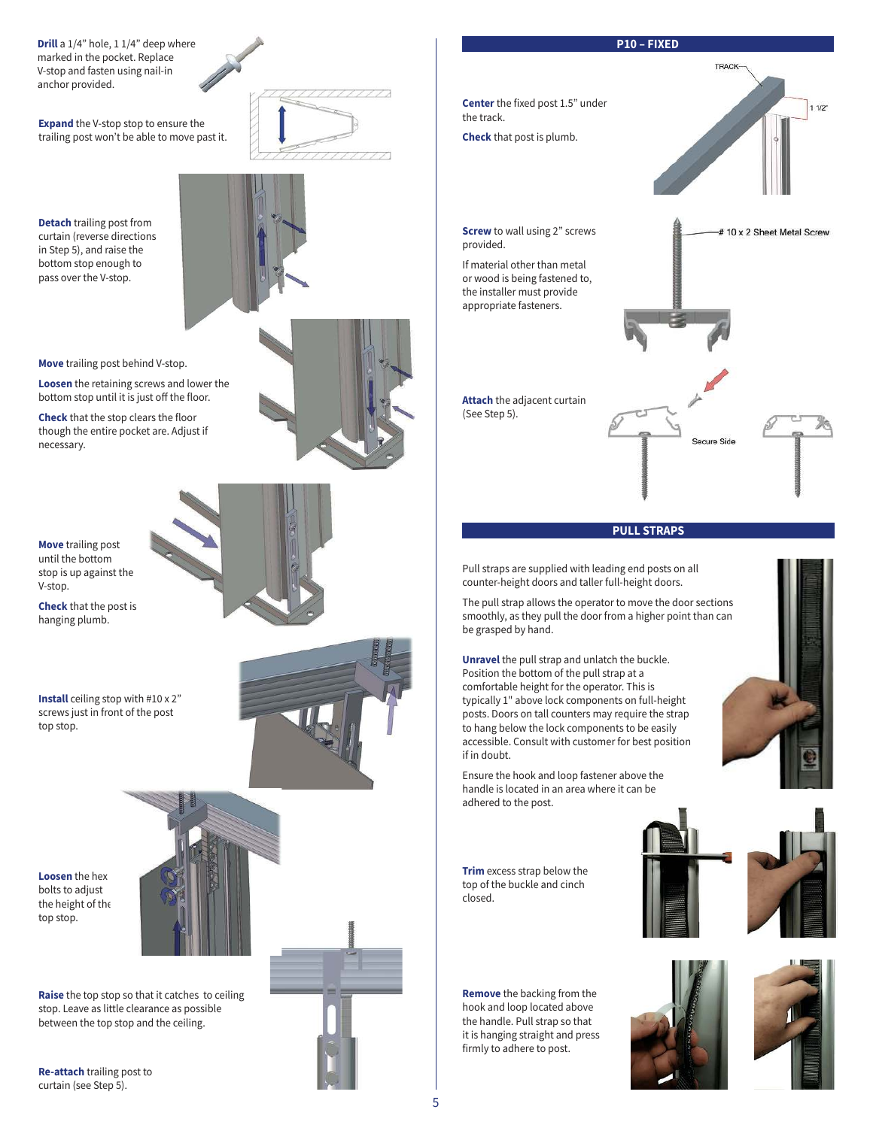**Drill** a 1/4" hole, 1 1/4" deep where marked in the pocket. Replace V-stop and fasten using nail-in anchor provided.

**Expand** the V-stop stop to ensure the trailing post won't be able to move past it.

**Detach** trailing post from curtain (reverse directions in Step 5), and raise the bottom stop enough to pass over the V-stop.



**Move** trailing post behind V-stop.

**Loosen** the retaining screws and lower the bottom stop until it is just off the floor.

**Check** that the stop clears the floor though the entire pocket are. Adjust if necessary.

**Move** trailing post until the bottom stop is up against the V-stop.

**Check** that the post is hanging plumb.





**Loosen** the hex bolts to adjust the height of the top stop.



**Raise** the top stop so that it catches to ceiling stop. Leave as little clearance as possible between the top stop and the ceiling.

**Re-attach** trailing post to curtain (see Step 5).







## **PULL STRAPS**

Pull straps are supplied with leading end posts on all counter-height doors and taller full-height doors.

The pull strap allows the operator to move the door sections smoothly, as they pull the door from a higher point than can be grasped by hand.

**Unravel** the pull strap and unlatch the buckle. Position the bottom of the pull strap at a comfortable height for the operator. This is typically 1" above lock components on full-height posts. Doors on tall counters may require the strap to hang below the lock components to be easily accessible. Consult with customer for best position if in doubt.

Ensure the hook and loop fastener above the handle is located in an area where it can be adhered to the post.



**Remove** the backing from the hook and loop located above the handle. Pull strap so that it is hanging straight and press firmly to adhere to post.

**Trim** excess strap below the top of the buckle and cinch

closed.



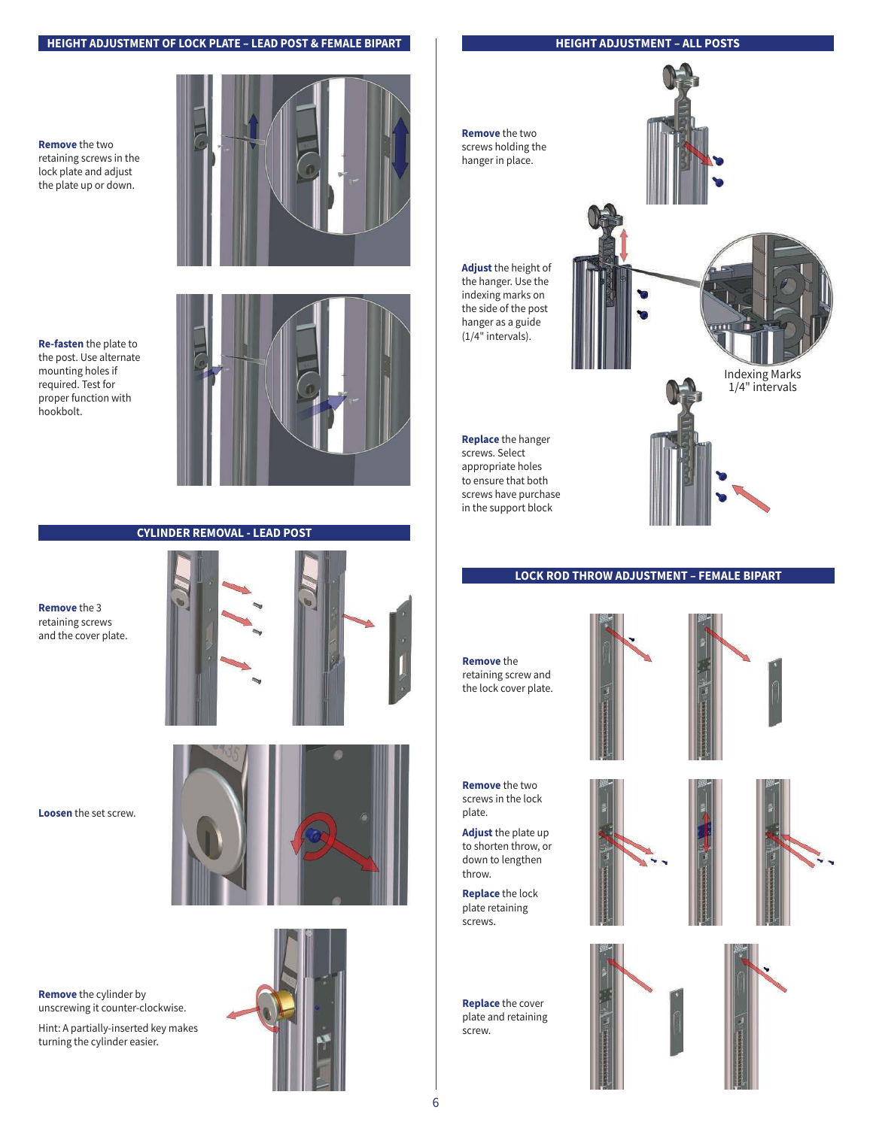# **HEIGHT ADJUSTMENT OF LOCK PLATE – LEAD POST & FEMALE BIPART**

# **HEIGHT ADJUSTMENT – ALL POSTS**

**Remove** the two retaining screws in the lock plate and adjust the plate up or down.



**Re-fasten** the plate to the post. Use alternate mounting holes if required. Test for proper function with hookbolt.



# **CYLINDER REMOVAL - LEAD POST**

**Remove** the 3 retaining screws and the cover plate.



**Loosen** the set screw.



**Remove** the cylinder by unscrewing it counter-clockwise.

Hint: A partially-inserted key makes turning the cylinder easier.





# **LOCK ROD THROW ADJUSTMENT – FEMALE BIPART**

**Remove** the retaining screw and the lock cover plate.



**Remove** the two screws in the lock plate.

**Adjust** the plate up to shorten throw, or down to lengthen throw.

**Replace** the lock plate retaining screws.

**Replace** the cover plate and retaining screw.





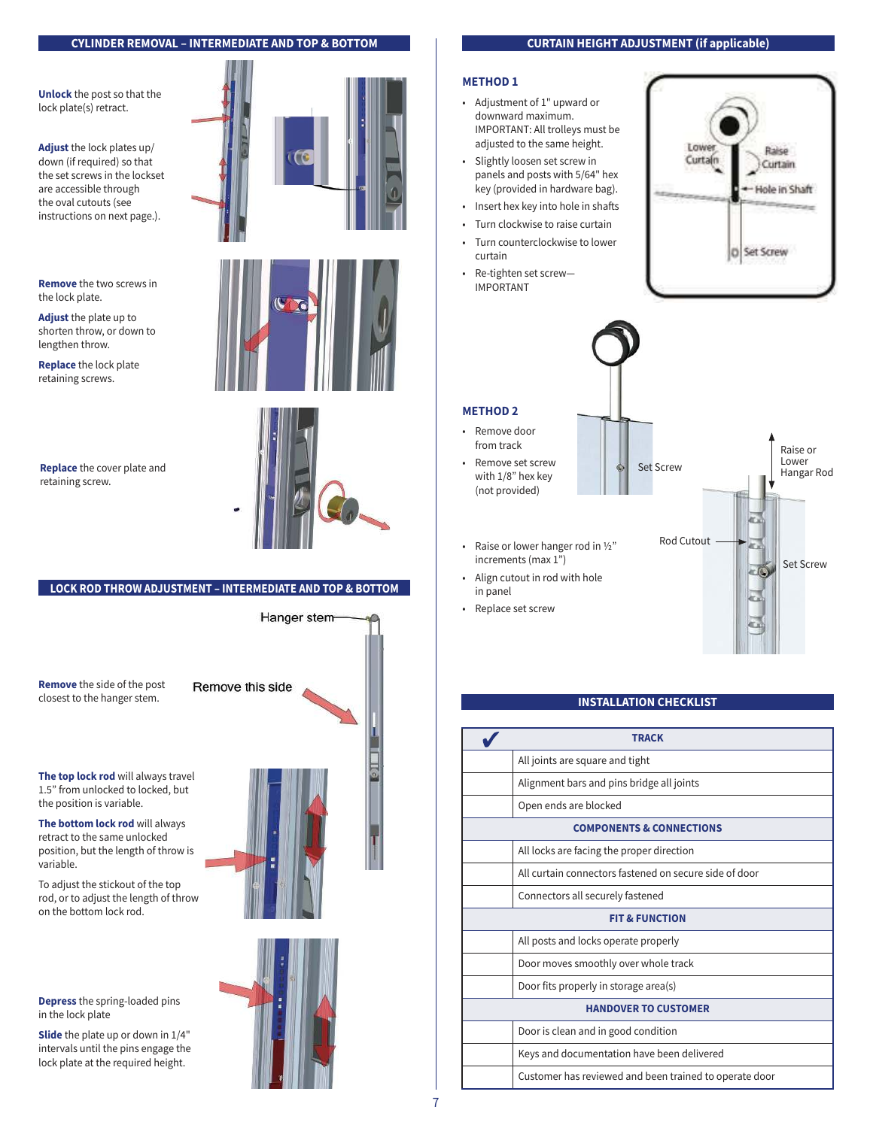### **CYLINDER REMOVAL – INTERMEDIATE AND TOP & BOTTOM**

**Unlock** the post so that the lock plate(s) retract.

**Adjust** the lock plates up/ down (if required) so that the set screws in the lockset are accessible through the oval cutouts (see instructions on next page.).

**Remove** the two screws in the lock plate.

**Adjust** the plate up to shorten throw, or down to lengthen throw.

**Replace** the lock plate retaining screws.

**Replace** the cover plate and



retaining screw.

# **LOCK ROD THROW ADJUSTMENT – INTERMEDIATE AND TOP & BOTTOM**

**Remove** the side of the post closest to the hanger stem.

Remove this side

**The top lock rod** will always travel 1.5" from unlocked to locked, but the position is variable.

**The bottom lock rod** will always retract to the same unlocked position, but the length of throw is variable.

To adjust the stickout of the top rod, or to adjust the length of throw on the bottom lock rod.

**Depress** the spring-loaded pins in the lock plate

**Slide** the plate up or down in 1/4" intervals until the pins engage the lock plate at the required height.







IMPORTANT



# **METHOD 2**

- Remove door from track • Remove set screw
- with 1/8" hex key (not provided)

increments (max 1")

in panel • Replace set screw



# **INSTALLATION CHECKLIST**

| TRACK                               |                                                        |  |
|-------------------------------------|--------------------------------------------------------|--|
|                                     | All joints are square and tight                        |  |
|                                     | Alignment bars and pins bridge all joints              |  |
|                                     | Open ends are blocked                                  |  |
| <b>COMPONENTS &amp; CONNECTIONS</b> |                                                        |  |
|                                     | All locks are facing the proper direction              |  |
|                                     | All curtain connectors fastened on secure side of door |  |
|                                     | Connectors all securely fastened                       |  |
| <b>FIT &amp; FUNCTION</b>           |                                                        |  |
|                                     | All posts and locks operate properly                   |  |
|                                     | Door moves smoothly over whole track                   |  |
|                                     | Door fits properly in storage area(s)                  |  |
| <b>HANDOVER TO CUSTOMER</b>         |                                                        |  |
|                                     | Door is clean and in good condition                    |  |
|                                     | Keys and documentation have been delivered             |  |
|                                     | Customer has reviewed and been trained to operate door |  |

### 7

### **CURTAIN HEIGHT ADJUSTMENT (if applicable)**

### **METHOD 1**

- Adjustment of 1" upward or downward maximum. IMPORTANT: All trolleys must be adjusted to the same height.
- Slightly loosen set screw in panels and posts with 5/64" hex key (provided in hardware bag).
- Insert hex key into hole in shafts
- Turn clockwise to raise curtain
- Turn counterclockwise to lower
- Re-tighten set screw—